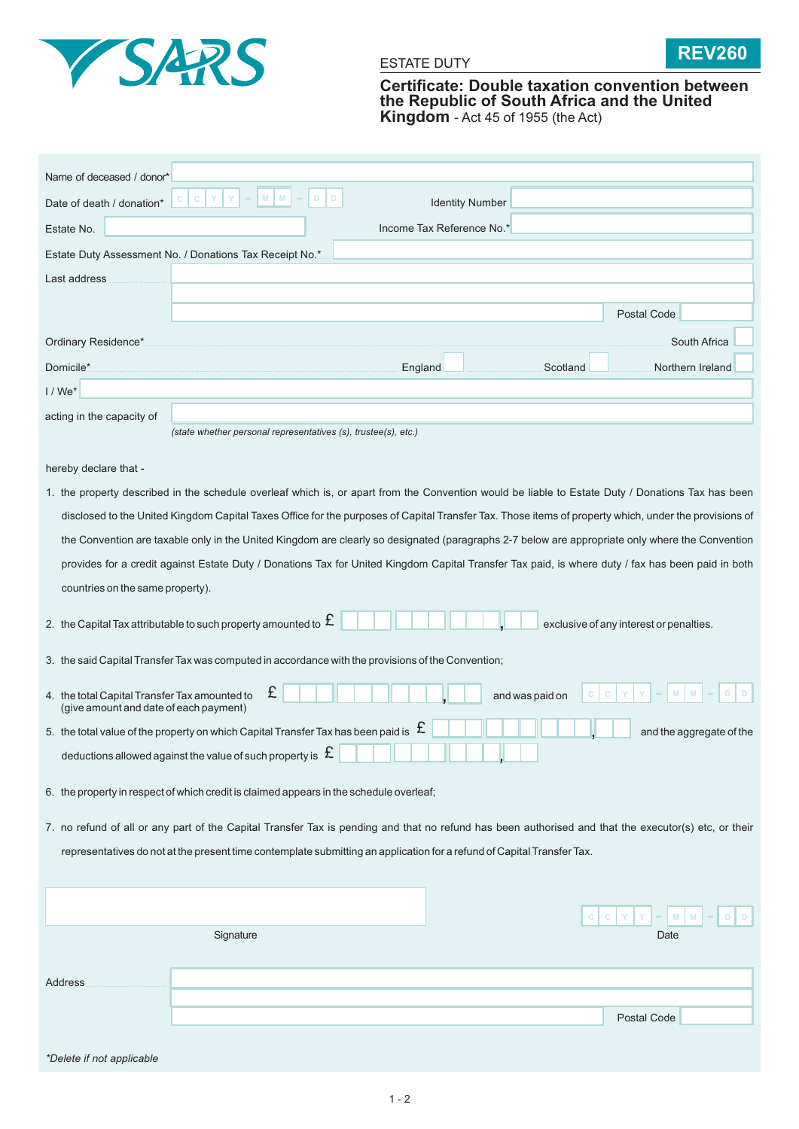



**Certificate: Double taxation convention between the Republic of South Africa and the United Kingdom** - Act 45 of 1955 (the Act)

| Name of deceased / donor*                                                                                                                            |                                                                                                                                                       |                 |                          |  |  |  |
|------------------------------------------------------------------------------------------------------------------------------------------------------|-------------------------------------------------------------------------------------------------------------------------------------------------------|-----------------|--------------------------|--|--|--|
| Date of death / donation*                                                                                                                            | M<br>M<br>D<br>D<br>$\mathsf{C}$<br>С<br><b>Identity Number</b>                                                                                       |                 |                          |  |  |  |
| Estate No.                                                                                                                                           | Income Tax Reference No.*                                                                                                                             |                 |                          |  |  |  |
| Estate Duty Assessment No. / Donations Tax Receipt No.*                                                                                              |                                                                                                                                                       |                 |                          |  |  |  |
| Last address                                                                                                                                         |                                                                                                                                                       |                 |                          |  |  |  |
|                                                                                                                                                      |                                                                                                                                                       |                 | Postal Code              |  |  |  |
|                                                                                                                                                      |                                                                                                                                                       |                 |                          |  |  |  |
| Ordinary Residence*                                                                                                                                  |                                                                                                                                                       |                 | South Africa             |  |  |  |
| Domicile*                                                                                                                                            | England                                                                                                                                               | Scotland        | Northern Ireland         |  |  |  |
| $1/We*$                                                                                                                                              |                                                                                                                                                       |                 |                          |  |  |  |
| acting in the capacity of                                                                                                                            | (state whether personal representatives (s), trustee(s), etc.)                                                                                        |                 |                          |  |  |  |
|                                                                                                                                                      |                                                                                                                                                       |                 |                          |  |  |  |
| hereby declare that -                                                                                                                                |                                                                                                                                                       |                 |                          |  |  |  |
| 1. the property described in the schedule overleaf which is, or apart from the Convention would be liable to Estate Duty / Donations Tax has been    |                                                                                                                                                       |                 |                          |  |  |  |
|                                                                                                                                                      | disclosed to the United Kingdom Capital Taxes Office for the purposes of Capital Transfer Tax. Those items of property which, under the provisions of |                 |                          |  |  |  |
| the Convention are taxable only in the United Kingdom are clearly so designated (paragraphs 2-7 below are appropriate only where the Convention      |                                                                                                                                                       |                 |                          |  |  |  |
| provides for a credit against Estate Duty / Donations Tax for United Kingdom Capital Transfer Tax paid, is where duty / fax has been paid in both    |                                                                                                                                                       |                 |                          |  |  |  |
| countries on the same property).                                                                                                                     |                                                                                                                                                       |                 |                          |  |  |  |
| 2. the Capital Tax attributable to such property amounted to $\,\mathfrak{L}\,$<br>exclusive of any interest or penalties.                           |                                                                                                                                                       |                 |                          |  |  |  |
| 3. the said Capital Transfer Tax was computed in accordance with the provisions of the Convention;                                                   |                                                                                                                                                       |                 |                          |  |  |  |
| 4. the total Capital Transfer Tax amounted to<br>(give amount and date of each payment)                                                              | £                                                                                                                                                     | and was paid on |                          |  |  |  |
|                                                                                                                                                      | 5. the total value of the property on which Capital Transfer Tax has been paid is $~\mathfrak E$                                                      |                 | and the aggregate of the |  |  |  |
|                                                                                                                                                      | deductions allowed against the value of such property is $~\mathfrak{L}$                                                                              |                 |                          |  |  |  |
|                                                                                                                                                      | 6. the property in respect of which credit is claimed appears in the schedule overleaf;                                                               |                 |                          |  |  |  |
| 7. no refund of all or any part of the Capital Transfer Tax is pending and that no refund has been authorised and that the executor(s) etc, or their |                                                                                                                                                       |                 |                          |  |  |  |
| representatives do not at the present time contemplate submitting an application for a refund of Capital Transfer Tax.                               |                                                                                                                                                       |                 |                          |  |  |  |

|                           |           | $C C V Y = M M - D D$ |
|---------------------------|-----------|-----------------------|
|                           | Signature | Date                  |
|                           |           |                       |
| <b>Address</b>            |           |                       |
|                           |           |                       |
|                           |           | Postal Code           |
|                           |           |                       |
| *Delete if not applicable |           |                       |